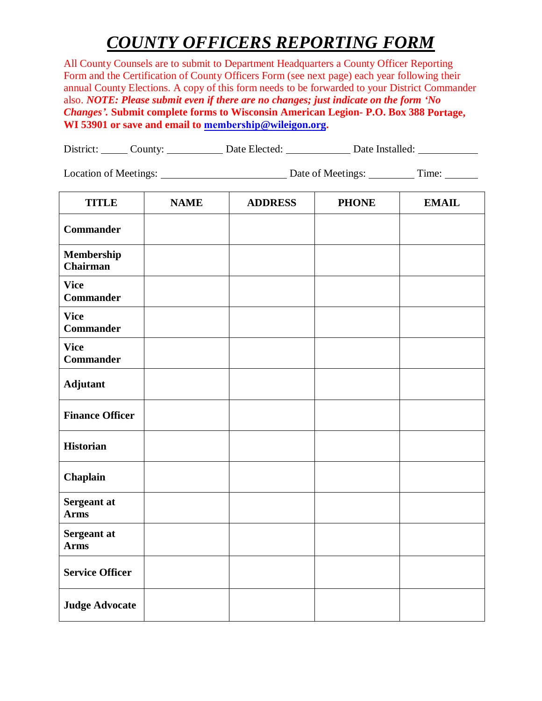## *COUNTY OFFICERS REPORTING FORM*

All County Counsels are to submit to Department Headquarters a County Officer Reporting Form and the Certification of County Officers Form (see next page) each year following their annual County Elections. A copy of this form needs to be forwarded to your District Commander also. *NOTE: Please submit even if there are no changes; just indicate on the form 'No Changes'.* **Submit complete forms to Wisconsin American Legion- P.O. Box 388 Portage, WI 53901 or save and email to membership[@wileigon.org.](mailto:chris@wileigon.org)** 

| District: | _'ounty: | Date Elected: | Date Installed: |
|-----------|----------|---------------|-----------------|
|           |          |               |                 |

Location of Meetings: Date of Meetings: Time:

| <b>TITLE</b>                    | <b>NAME</b> | <b>ADDRESS</b> | <b>PHONE</b> | <b>EMAIL</b> |
|---------------------------------|-------------|----------------|--------------|--------------|
| <b>Commander</b>                |             |                |              |              |
| Membership<br><b>Chairman</b>   |             |                |              |              |
| <b>Vice</b><br><b>Commander</b> |             |                |              |              |
| <b>Vice</b><br><b>Commander</b> |             |                |              |              |
| <b>Vice</b><br><b>Commander</b> |             |                |              |              |
| Adjutant                        |             |                |              |              |
| <b>Finance Officer</b>          |             |                |              |              |
| <b>Historian</b>                |             |                |              |              |
| Chaplain                        |             |                |              |              |
| Sergeant at<br><b>Arms</b>      |             |                |              |              |
| Sergeant at<br><b>Arms</b>      |             |                |              |              |
| <b>Service Officer</b>          |             |                |              |              |
| <b>Judge Advocate</b>           |             |                |              |              |